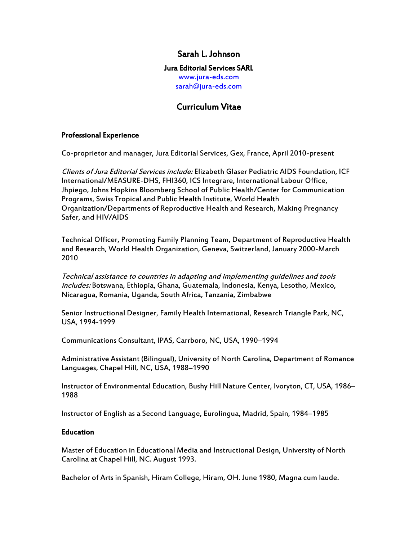## Sarah L. Johnson

## Jura Editorial Services SARL

<www.jura-eds.com> [sarah@jura-eds.com](mailto:sarah@jura-eds.com)

# Curriculum Vitae

### Professional Experience

Co-proprietor and manager, Jura Editorial Services, Gex, France, April 2010-present

Clients of Jura Editorial Services include: Elizabeth Glaser Pediatric AIDS Foundation, ICF International/MEASURE-DHS, FHI360, ICS Integrare, International Labour Office, Jhpiego, Johns Hopkins Bloomberg School of Public Health/Center for Communication Programs, Swiss Tropical and Public Health Institute, World Health Organization/Departments of Reproductive Health and Research, Making Pregnancy Safer, and HIV/AIDS

Technical Officer, Promoting Family Planning Team, Department of Reproductive Health and Research, World Health Organization, Geneva, Switzerland, January 2000-March 2010

Technical assistance to countries in adapting and implementing guidelines and tools includes: Botswana, Ethiopia, Ghana, Guatemala, Indonesia, Kenya, Lesotho, Mexico, Nicaragua, Romania, Uganda, South Africa, Tanzania, Zimbabwe

Senior Instructional Designer, Family Health International, Research Triangle Park, NC, USA, 1994-1999

Communications Consultant, IPAS, Carrboro, NC, USA, 1990–1994

Administrative Assistant (Bilingual), University of North Carolina, Department of Romance Languages, Chapel Hill, NC, USA, 1988–1990

Instructor of Environmental Education, Bushy Hill Nature Center, Ivoryton, CT, USA, 1986– 1988

Instructor of English as a Second Language, Eurolingua, Madrid, Spain, 1984–1985

#### **Education**

Master of Education in Educational Media and Instructional Design, University of North Carolina at Chapel Hill, NC. August 1993.

Bachelor of Arts in Spanish, Hiram College, Hiram, OH. June 1980, Magna cum laude.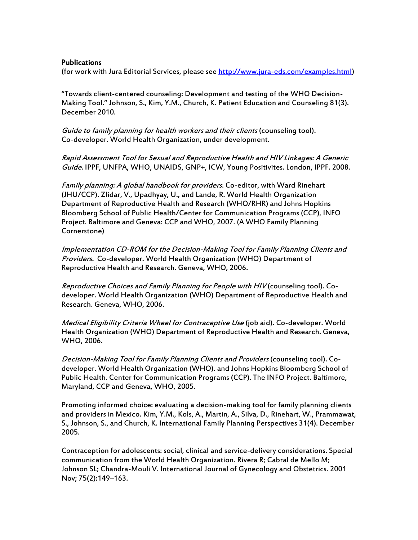#### Publications

(for work with Jura Editorial Services, please see [http://www.jura-eds.com/examples.html\)](http://www.jura-eds.com/examples.html)

"Towards client-centered counseling: Development and testing of the WHO Decision-Making Tool." Johnson, S., Kim, Y.M., Church, K. Patient Education and Counseling 81(3). December 2010.

Guide to family planning for health workers and their clients (counseling tool). Co-developer. World Health Organization, under development.

Rapid Assessment Tool for Sexual and Reproductive Health and HIV Linkages: A Generic Guide. IPPF, UNFPA, WHO, UNAIDS, GNP+, ICW, Young Positivites. London, IPPF. 2008.

Family planning: A global handbook for providers. Co-editor, with Ward Rinehart (JHU/CCP). Zlidar, V., Upadhyay, U., and Lande, R. World Health Organization Department of Reproductive Health and Research (WHO/RHR) and Johns Hopkins Bloomberg School of Public Health/Center for Communication Programs (CCP), INFO Project. Baltimore and Geneva: CCP and WHO, 2007. (A WHO Family Planning Cornerstone)

Implementation CD-ROM for the Decision-Making Tool for Family Planning Clients and Providers. Co-developer. World Health Organization (WHO) Department of Reproductive Health and Research. Geneva, WHO, 2006.

Reproductive Choices and Family Planning for People with HIV (counseling tool). Codeveloper. World Health Organization (WHO) Department of Reproductive Health and Research. Geneva, WHO, 2006.

Medical Eligibility Criteria Wheel for Contraceptive Use (job aid). Co-developer. World Health Organization (WHO) Department of Reproductive Health and Research. Geneva, WHO, 2006.

Decision-Making Tool for Family Planning Clients and Providers (counseling tool). Codeveloper. World Health Organization (WHO). and Johns Hopkins Bloomberg School of Public Health. Center for Communication Programs (CCP). The INFO Project. Baltimore, Maryland, CCP and Geneva, WHO, 2005.

Promoting informed choice: evaluating a decision-making tool for family planning clients and providers in Mexico. Kim, Y.M., Kols, A., Martin, A., Silva, D., Rinehart, W., Prammawat, S., Johnson, S., and Church, K. International Family Planning Perspectives 31(4). December 2005.

Contraception for adolescents: social, clinical and service-delivery considerations. Special communication from the World Health Organization. Rivera R; Cabral de Mello M; Johnson SL; Chandra-Mouli V. International Journal of Gynecology and Obstetrics. 2001 Nov; 75(2):149–163.